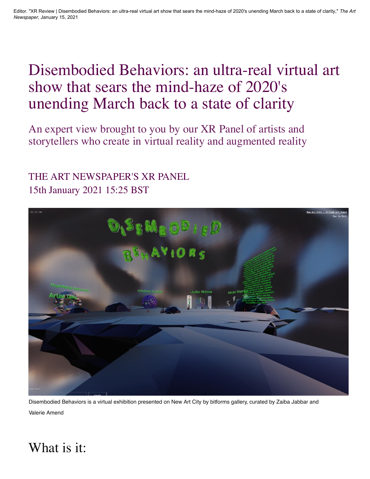## Disembodied Behaviors: an ultra-real virtual art show that sears the mind-haze of 2020's unending March back to a state of clarity

An expert view brought to you by our XR Panel of artists and storytellers who create in virtual reality and augmented reality

#### 15th January 2021 15:25 BST [THE ART NEWSPAPER'S XR PANEL](https://www.theartnewspaper.com/the-art-newspaper-s-xr-panel)



Disembodied Behaviors is a virtual exhibition presented on New Art City by bitforms gallery, curated by Zaiba Jabbar and Valerie Amend

#### What is it: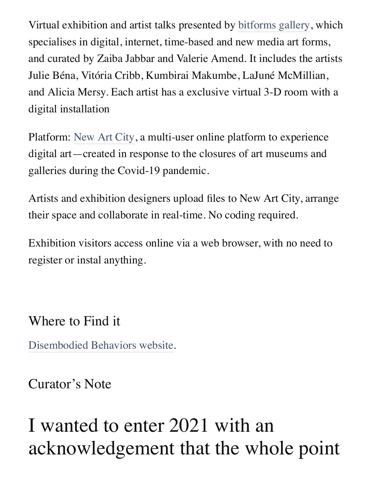Virtual exhibition and artist talks presented by [bitforms gallery](https://bitforms.art/info/), which specialises in digital, internet, time-based and new media art forms, and curated by Zaiba Jabbar and Valerie Amend. It includes the artists Julie Béna, Vitória Cribb, Kumbirai Makumbe, LaJuné McMillian, and Alicia Mersy. Each artist has a exclusive virtual 3-D room with a digital installation

Platform: [New Art City,](https://newart.city/) a multi-user online platform to experience digital art—created in response to the closures of art museums and galleries during the Covid-19 pandemic.

Artists and exhibition designers upload files to New Art City, arrange their space and collaborate in real-time. No coding required.

Exhibition visitors access online via a web browser, with no need to register or instal anything.

Where to Find it

[Disembodied Behaviors website](https://newart.city/show/disembodied-behaviors).

Curator's Note

## I wanted to enter 2021 with an acknowledgement that the whole point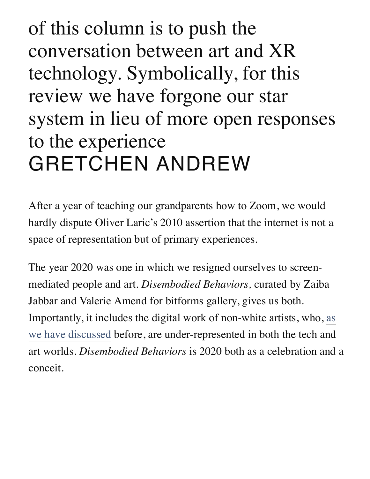of this column is to push the conversation between art and XR technology. Symbolically, for this review we have forgone our star system in lieu of more open responses to the experience GRETCHEN ANDREW

After a year of teaching our grandparents how to Zoom, we would hardly dispute Oliver Laric's 2010 assertion that the internet is not a space of representation but of primary experiences.

The year 2020 was one in which we resigned ourselves to screenmediated people and art. *Disembodied Behaviors,* curated by Zaiba Jabbar and Valerie Amend for bitforms gallery, gives us both. [Importantly, it includes the digital work of non-white artists, who, as](https://www.theartnewspaper.com/review/black-lives-matter-in-augmented-reality-from-la-times) we have discussed before, are under-represented in both the tech and art worlds. *Disembodied Behaviors* is 2020 both as a celebration and a conceit.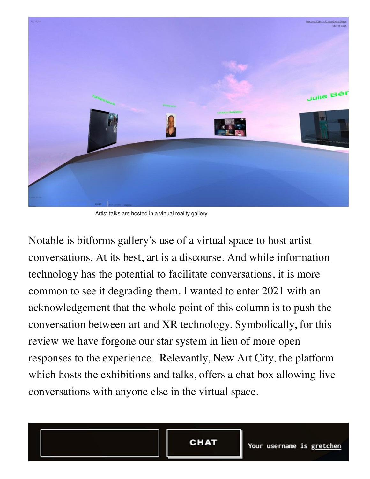

Artist talks are hosted in a virtual reality gallery

Notable is bitforms gallery's use of a virtual space to host artist conversations. At its best, art is a discourse. And while information technology has the potential to facilitate conversations, it is more common to see it degrading them. I wanted to enter 2021 with an acknowledgement that the whole point of this column is to push the conversation between art and XR technology. Symbolically, for this review we have forgone our star system in lieu of more open responses to the experience. Relevantly, New Art City, the platform which hosts the exhibitions and talks, offers a chat box allowing live conversations with anyone else in the virtual space.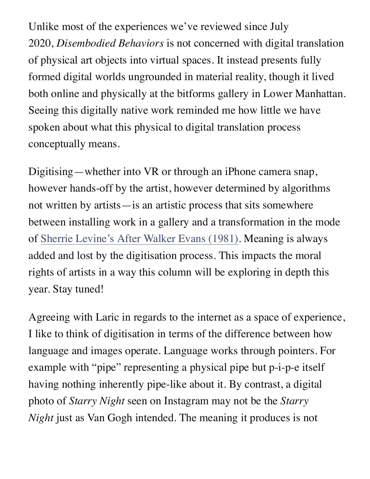Unlike most of the experiences we've reviewed since July 2020, *Disembodied Behaviors* is not concerned with digital translation of physical art objects into virtual spaces. It instead presents fully formed digital worlds ungrounded in material reality, though it lived both online and physically at the bitforms gallery in Lower Manhattan. Seeing this digitally native work reminded me how little we have spoken about what this physical to digital translation process conceptually means.

Digitising—whether into VR or through an iPhone camera snap, however hands-off by the artist, however determined by algorithms not written by artists—is an artistic process that sits somewhere between installing work in a gallery and a transformation in the mode of [Sherrie Levine's After Walker Evans \(1981\).](https://www.metmuseum.org/art/collection/search/267209) Meaning is always added and lost by the digitisation process. This impacts the moral rights of artists in a way this column will be exploring in depth this year. Stay tuned!

Agreeing with Laric in regards to the internet as a space of experience, I like to think of digitisation in terms of the difference between how language and images operate. Language works through pointers. For example with "pipe" representing a physical pipe but p-i-p-e itself having nothing inherently pipe-like about it. By contrast, a digital photo of *Starry Night* seen on Instagram may not be the *Starry Night* just as Van Gogh intended. The meaning it produces is not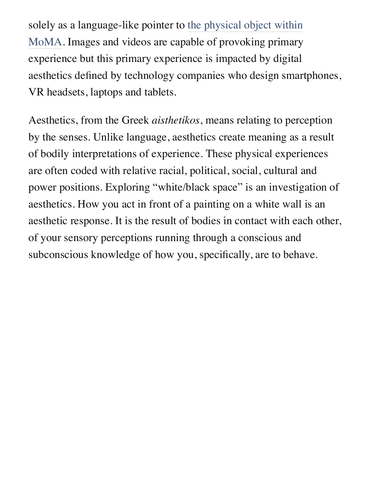solely as a language-like pointer to the physical object within [MoMA. Images and videos are capable of provoking primary](https://www.moma.org/collection/works/79802) experience but this primary experience is impacted by digital aesthetics defined by technology companies who design smartphones, VR headsets, laptops and tablets.

Aesthetics, from the Greek *aisthetikos*, means relating to perception by the senses. Unlike language, aesthetics create meaning as a result of bodily interpretations of experience. These physical experiences are often coded with relative racial, political, social, cultural and power positions. Exploring "white/black space" is an investigation of aesthetics. How you act in front of a painting on a white wall is an aesthetic response. It is the result of bodies in contact with each other, of your sensory perceptions running through a conscious and subconscious knowledge of how you, specifically, are to behave.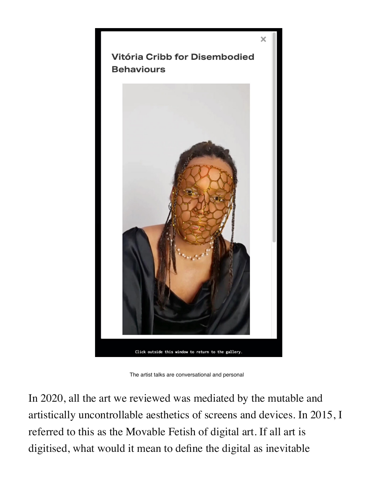

The artist talks are conversational and personal

In 2020, all the art we reviewed was mediated by the mutable and artistically uncontrollable aesthetics of screens and devices. In 2015, I referred to this as the Movable Fetish of digital art. If all art is digitised, what would it mean to define the digital as inevitable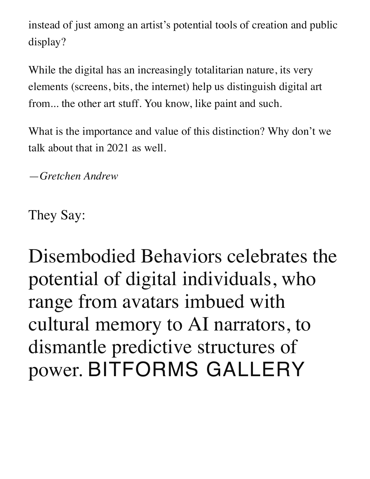instead of just among an artist's potential tools of creation and public display?

While the digital has an increasingly totalitarian nature, its very elements (screens, bits, the internet) help us distinguish digital art from... the other art stuff. You know, like paint and such.

What is the importance and value of this distinction? Why don't we talk about that in 2021 as well.

—*Gretchen Andrew*

They Say:

Disembodied Behaviors celebrates the potential of digital individuals, who range from avatars imbued with cultural memory to AI narrators, to dismantle predictive structures of power. BITFORMS GALLERY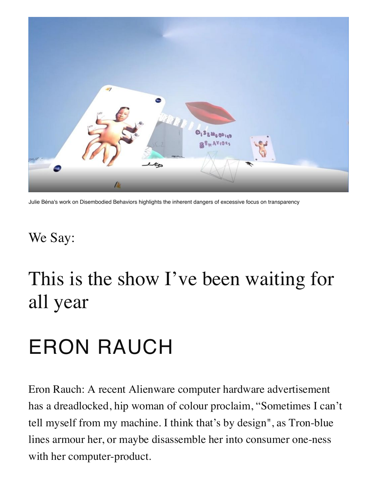

Julie Béna's work on Disembodied Behaviors highlights the inherent dangers of excessive focus on transparency

## We Say:

# This is the show I've been waiting for all year

# ERON RAUCH

Eron Rauch: A recent Alienware computer hardware advertisement has a dreadlocked, hip woman of colour proclaim, "Sometimes I can't tell myself from my machine. I think that's by design", as Tron-blue lines armour her, or maybe disassemble her into consumer one-ness with her computer-product.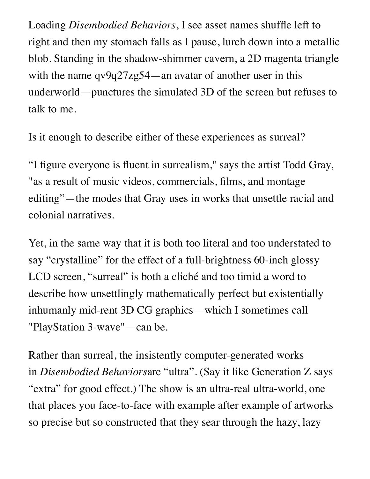Loading *Disembodied Behaviors*, I see asset names shuffle left to right and then my stomach falls as I pause, lurch down into a metallic blob. Standing in the shadow-shimmer cavern, a 2D magenta triangle with the name qv9q27zg54—an avatar of another user in this underworld—punctures the simulated 3D of the screen but refuses to talk to me.

Is it enough to describe either of these experiences as surreal?

"I figure everyone is fluent in surrealism," says the artist Todd Gray, "as a result of music videos, commercials, films, and montage editing"—the modes that Gray uses in works that unsettle racial and colonial narratives.

Yet, in the same way that it is both too literal and too understated to say "crystalline" for the effect of a full-brightness 60-inch glossy LCD screen, "surreal" is both a cliché and too timid a word to describe how unsettlingly mathematically perfect but existentially inhumanly mid-rent 3D CG graphics—which I sometimes call "PlayStation 3-wave"—can be.

Rather than surreal, the insistently computer-generated works in *Disembodied Behaviors*are "ultra". (Say it like Generation Z says "extra" for good effect.) The show is an ultra-real ultra-world, one that places you face-to-face with example after example of artworks so precise but so constructed that they sear through the hazy, lazy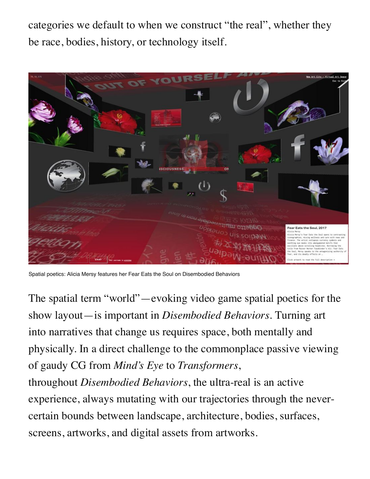categories we default to when we construct "the real", whether they be race, bodies, history, or technology itself.



Spatial poetics: Alicia Mersy features her Fear Eats the Soul on Disembodied Behaviors

The spatial term "world"—evoking video game spatial poetics for the show layout—is important in *Disembodied Behaviors*. Turning art into narratives that change us requires space, both mentally and physically. In a direct challenge to the commonplace passive viewing of gaudy CG from *Mind's Eye* to *Transformers*,

throughout *Disembodied Behaviors*, the ultra-real is an active experience, always mutating with our trajectories through the nevercertain bounds between landscape, architecture, bodies, surfaces, screens, artworks, and digital assets from artworks.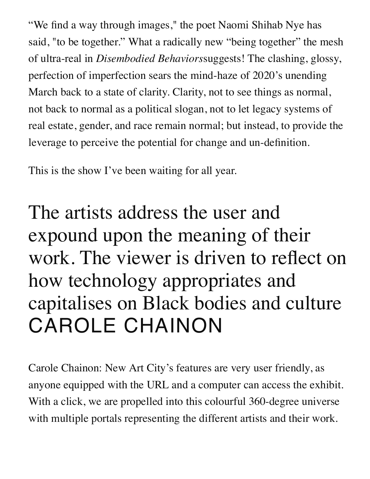"We find a way through images," the poet Naomi Shihab Nye has said, "to be together." What a radically new "being together" the mesh of ultra-real in *Disembodied Behaviors*suggests! The clashing, glossy, perfection of imperfection sears the mind-haze of 2020's unending March back to a state of clarity. Clarity, not to see things as normal, not back to normal as a political slogan, not to let legacy systems of real estate, gender, and race remain normal; but instead, to provide the leverage to perceive the potential for change and un-definition.

This is the show I've been waiting for all year.

The artists address the user and expound upon the meaning of their work. The viewer is driven to reflect on how technology appropriates and capitalises on Black bodies and culture CAROLE CHAINON

Carole Chainon: New Art City's features are very user friendly, as anyone equipped with the URL and a computer can access the exhibit. With a click, we are propelled into this colourful 360-degree universe with multiple portals representing the different artists and their work.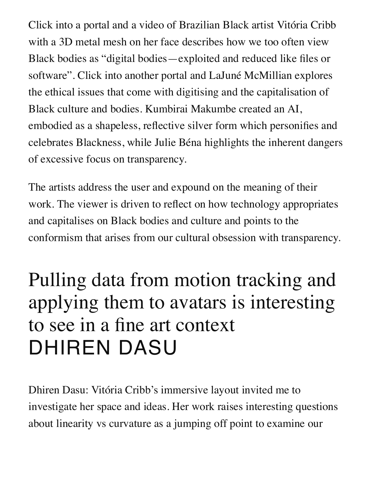Click into a portal and a video of Brazilian Black artist Vitória Cribb with a 3D metal mesh on her face describes how we too often view Black bodies as "digital bodies—exploited and reduced like files or software". Click into another portal and LaJuné McMillian explores the ethical issues that come with digitising and the capitalisation of Black culture and bodies. Kumbirai Makumbe created an AI, embodied as a shapeless, reflective silver form which personifies and celebrates Blackness, while Julie Béna highlights the inherent dangers of excessive focus on transparency.

The artists address the user and expound on the meaning of their work. The viewer is driven to reflect on how technology appropriates and capitalises on Black bodies and culture and points to the conformism that arises from our cultural obsession with transparency.

# Pulling data from motion tracking and applying them to avatars is interesting to see in a fine art context DHIREN DASU

Dhiren Dasu: Vitória Cribb's immersive layout invited me to investigate her space and ideas. Her work raises interesting questions about linearity vs curvature as a jumping off point to examine our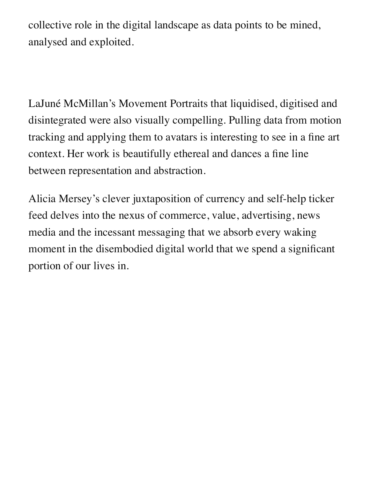collective role in the digital landscape as data points to be mined, analysed and exploited.

LaJuné McMillan's Movement Portraits that liquidised, digitised and disintegrated were also visually compelling. Pulling data from motion tracking and applying them to avatars is interesting to see in a fine art context. Her work is beautifully ethereal and dances a fine line between representation and abstraction.

Alicia Mersey's clever juxtaposition of currency and self-help ticker feed delves into the nexus of commerce, value, advertising, news media and the incessant messaging that we absorb every waking moment in the disembodied digital world that we spend a significant portion of our lives in.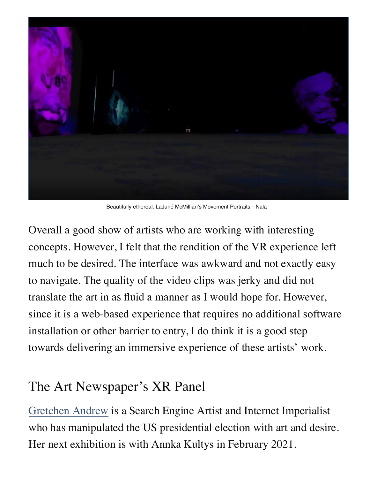

Beautifully ethereal: LaJuné McMillian's Movement Portraits—Nala

Overall a good show of artists who are working with interesting concepts. However, I felt that the rendition of the VR experience left much to be desired. The interface was awkward and not exactly easy to navigate. The quality of the video clips was jerky and did not translate the art in as fluid a manner as I would hope for. However, since it is a web-based experience that requires no additional software installation or other barrier to entry, I do think it is a good step towards delivering an immersive experience of these artists' work.

### The Art Newspaper's XR Panel

[Gretchen Andrew](https://www.instagram.com/gretchenandrew/) is a Search Engine Artist and Internet Imperialist who has manipulated the US presidential election with art and desire. Her next exhibition is with Annka Kultys in February 2021.